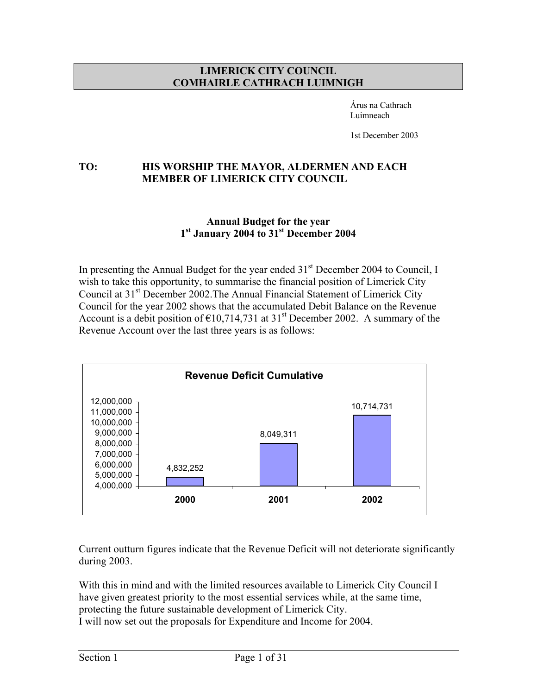#### **LIMERICK CITY COUNCIL COMHAIRLE CATHRACH LUIMNIGH**

 Árus na Cathrach Luimneach

1st December 2003

## **TO: HIS WORSHIP THE MAYOR, ALDERMEN AND EACH MEMBER OF LIMERICK CITY COUNCIL**

#### **Annual Budget for the year 1st January 2004 to 31st December 2004**

In presenting the Annual Budget for the year ended  $31<sup>st</sup>$  December 2004 to Council, I wish to take this opportunity, to summarise the financial position of Limerick City Council at 31<sup>st</sup> December 2002. The Annual Financial Statement of Limerick City Council for the year 2002 shows that the accumulated Debit Balance on the Revenue Account is a debit position of  $\epsilon$ 10,714,731 at 31<sup>st</sup> December 2002. A summary of the Revenue Account over the last three years is as follows:



Current outturn figures indicate that the Revenue Deficit will not deteriorate significantly during 2003.

With this in mind and with the limited resources available to Limerick City Council I have given greatest priority to the most essential services while, at the same time, protecting the future sustainable development of Limerick City. I will now set out the proposals for Expenditure and Income for 2004.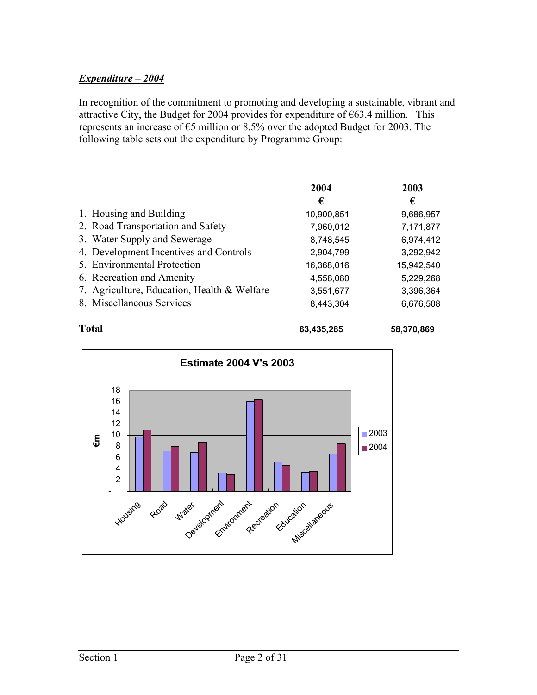# *Expenditure – 2004*

In recognition of the commitment to promoting and developing a sustainable, vibrant and attractive City, the Budget for 2004 provides for expenditure of  $\epsilon$ 63.4 million. This represents an increase of €5 million or 8.5% over the adopted Budget for 2003. The following table sets out the expenditure by Programme Group:

|                                             | 2004       | 2003       |
|---------------------------------------------|------------|------------|
|                                             | €          | €          |
| 1. Housing and Building                     | 10,900,851 | 9,686,957  |
| 2. Road Transportation and Safety           | 7,960,012  | 7,171,877  |
| 3. Water Supply and Sewerage                | 8,748,545  | 6,974,412  |
| 4. Development Incentives and Controls      | 2,904,799  | 3,292,942  |
| 5. Environmental Protection                 | 16,368,016 | 15,942,540 |
| 6. Recreation and Amenity                   | 4,558,080  | 5,229,268  |
| 7. Agriculture, Education, Health & Welfare | 3,551,677  | 3,396,364  |
| 8. Miscellaneous Services                   | 8,443,304  | 6,676,508  |
|                                             |            |            |



**Total 63,435,285 58,370,869**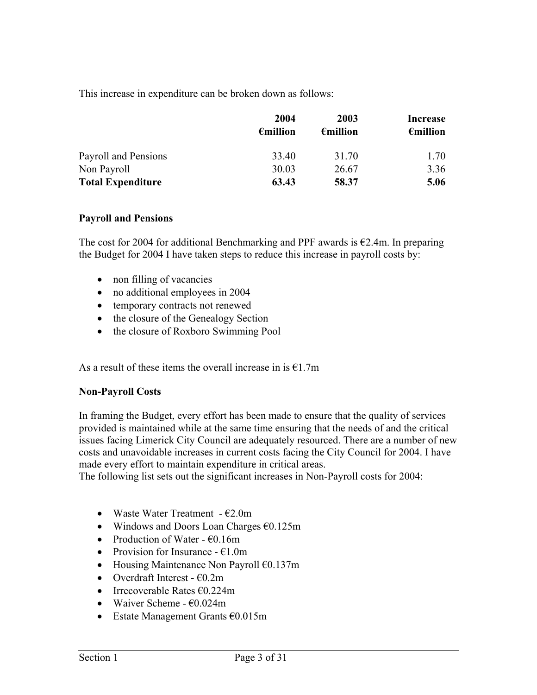This increase in expenditure can be broken down as follows:

|                          | 2004<br>$\epsilon$ million | 2003<br>$\epsilon$ million | Increase<br>$\epsilon$ million |
|--------------------------|----------------------------|----------------------------|--------------------------------|
| Payroll and Pensions     | 33.40                      | 31.70                      | 1.70                           |
| Non Payroll              | 30.03                      | 26.67                      | 3.36                           |
| <b>Total Expenditure</b> | 63.43                      | 58.37                      | 5.06                           |

#### **Payroll and Pensions**

The cost for 2004 for additional Benchmarking and PPF awards is  $\epsilon$ 2.4m. In preparing the Budget for 2004 I have taken steps to reduce this increase in payroll costs by:

- non filling of vacancies
- no additional employees in 2004
- temporary contracts not renewed
- the closure of the Genealogy Section
- the closure of Roxboro Swimming Pool

As a result of these items the overall increase in is  $E1.7m$ 

#### **Non-Payroll Costs**

In framing the Budget, every effort has been made to ensure that the quality of services provided is maintained while at the same time ensuring that the needs of and the critical issues facing Limerick City Council are adequately resourced. There are a number of new costs and unavoidable increases in current costs facing the City Council for 2004. I have made every effort to maintain expenditure in critical areas.

The following list sets out the significant increases in Non-Payroll costs for 2004:

- Waste Water Treatment  $-62.0m$
- Windows and Doors Loan Charges  $\epsilon$ 0.125m
- Production of Water  $\epsilon$ 0.16m
- Provision for Insurance  $\epsilon$ 1.0m
- Housing Maintenance Non Payroll €0.137m
- Overdraft Interest  $\epsilon$ 0.2m
- Irrecoverable Rates  $\epsilon$ 0.224m
- Waiver Scheme  $\epsilon$ 0.024m
- Estate Management Grants €0.015m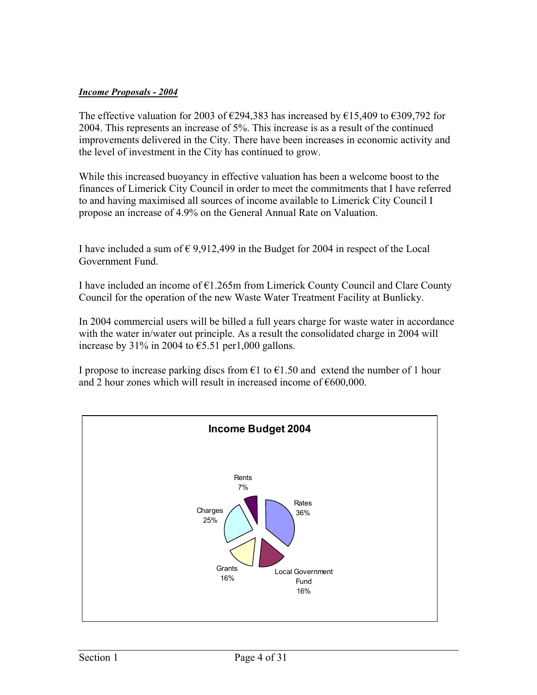#### *Income Proposals - 2004*

The effective valuation for 2003 of  $\epsilon$ 294,383 has increased by  $\epsilon$ 15,409 to  $\epsilon$ 309,792 for 2004. This represents an increase of 5%. This increase is as a result of the continued improvements delivered in the City. There have been increases in economic activity and the level of investment in the City has continued to grow.

While this increased buoyancy in effective valuation has been a welcome boost to the finances of Limerick City Council in order to meet the commitments that I have referred to and having maximised all sources of income available to Limerick City Council I propose an increase of 4.9% on the General Annual Rate on Valuation.

I have included a sum of  $\epsilon$  9,912,499 in the Budget for 2004 in respect of the Local Government Fund.

I have included an income of  $\epsilon$ 1.265m from Limerick County Council and Clare County Council for the operation of the new Waste Water Treatment Facility at Bunlicky.

In 2004 commercial users will be billed a full years charge for waste water in accordance with the water in/water out principle. As a result the consolidated charge in 2004 will increase by 31% in 2004 to  $\epsilon$ 5.51 per1,000 gallons.

I propose to increase parking discs from  $\epsilon$ 1 to  $\epsilon$ 1.50 and extend the number of 1 hour and 2 hour zones which will result in increased income of €600,000.

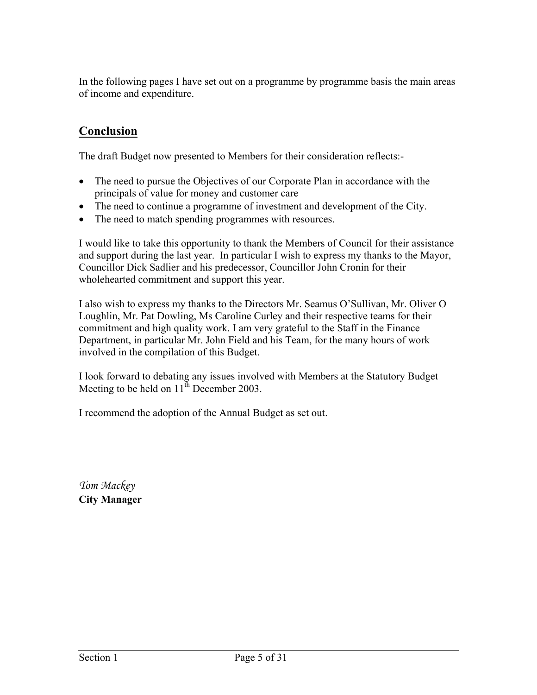In the following pages I have set out on a programme by programme basis the main areas of income and expenditure.

# **Conclusion**

The draft Budget now presented to Members for their consideration reflects:-

- The need to pursue the Objectives of our Corporate Plan in accordance with the principals of value for money and customer care
- The need to continue a programme of investment and development of the City.
- The need to match spending programmes with resources.

I would like to take this opportunity to thank the Members of Council for their assistance and support during the last year. In particular I wish to express my thanks to the Mayor, Councillor Dick Sadlier and his predecessor, Councillor John Cronin for their wholehearted commitment and support this year.

I also wish to express my thanks to the Directors Mr. Seamus O'Sullivan, Mr. Oliver O Loughlin, Mr. Pat Dowling, Ms Caroline Curley and their respective teams for their commitment and high quality work. I am very grateful to the Staff in the Finance Department, in particular Mr. John Field and his Team, for the many hours of work involved in the compilation of this Budget.

I look forward to debating any issues involved with Members at the Statutory Budget Meeting to be held on  $11^{th}$  December 2003.

I recommend the adoption of the Annual Budget as set out.

*Tom Mackey*  **City Manager**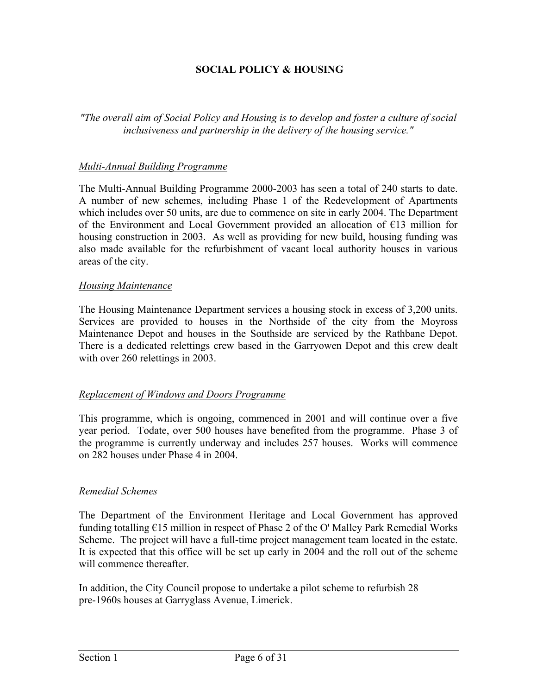## **SOCIAL POLICY & HOUSING**

*"The overall aim of Social Policy and Housing is to develop and foster a culture of social inclusiveness and partnership in the delivery of the housing service."* 

#### *Multi-Annual Building Programme*

The Multi-Annual Building Programme 2000-2003 has seen a total of 240 starts to date. A number of new schemes, including Phase 1 of the Redevelopment of Apartments which includes over 50 units, are due to commence on site in early 2004. The Department of the Environment and Local Government provided an allocation of €13 million for housing construction in 2003. As well as providing for new build, housing funding was also made available for the refurbishment of vacant local authority houses in various areas of the city.

#### *Housing Maintenance*

The Housing Maintenance Department services a housing stock in excess of 3,200 units. Services are provided to houses in the Northside of the city from the Moyross Maintenance Depot and houses in the Southside are serviced by the Rathbane Depot. There is a dedicated relettings crew based in the Garryowen Depot and this crew dealt with over 260 relettings in 2003.

#### *Replacement of Windows and Doors Programme*

This programme, which is ongoing, commenced in 2001 and will continue over a five year period. Todate, over 500 houses have benefited from the programme. Phase 3 of the programme is currently underway and includes 257 houses. Works will commence on 282 houses under Phase 4 in 2004.

#### *Remedial Schemes*

The Department of the Environment Heritage and Local Government has approved funding totalling  $E15$  million in respect of Phase 2 of the O' Malley Park Remedial Works Scheme. The project will have a full-time project management team located in the estate. It is expected that this office will be set up early in 2004 and the roll out of the scheme will commence thereafter.

In addition, the City Council propose to undertake a pilot scheme to refurbish 28 pre-1960s houses at Garryglass Avenue, Limerick.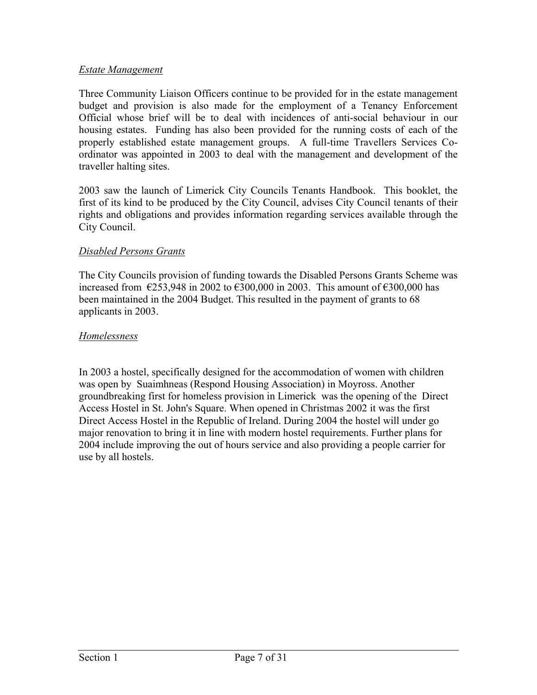## *Estate Management*

Three Community Liaison Officers continue to be provided for in the estate management budget and provision is also made for the employment of a Tenancy Enforcement Official whose brief will be to deal with incidences of anti-social behaviour in our housing estates. Funding has also been provided for the running costs of each of the properly established estate management groups. A full-time Travellers Services Coordinator was appointed in 2003 to deal with the management and development of the traveller halting sites.

2003 saw the launch of Limerick City Councils Tenants Handbook. This booklet, the first of its kind to be produced by the City Council, advises City Council tenants of their rights and obligations and provides information regarding services available through the City Council.

## *Disabled Persons Grants*

The City Councils provision of funding towards the Disabled Persons Grants Scheme was increased from  $\epsilon$ 253,948 in 2002 to  $\epsilon$ 300,000 in 2003. This amount of  $\epsilon$ 300,000 has been maintained in the 2004 Budget. This resulted in the payment of grants to 68 applicants in 2003.

## *Homelessness*

In 2003 a hostel, specifically designed for the accommodation of women with children was open by Suaimhneas (Respond Housing Association) in Moyross. Another groundbreaking first for homeless provision in Limerick was the opening of the Direct Access Hostel in St. John's Square. When opened in Christmas 2002 it was the first Direct Access Hostel in the Republic of Ireland. During 2004 the hostel will under go major renovation to bring it in line with modern hostel requirements. Further plans for 2004 include improving the out of hours service and also providing a people carrier for use by all hostels.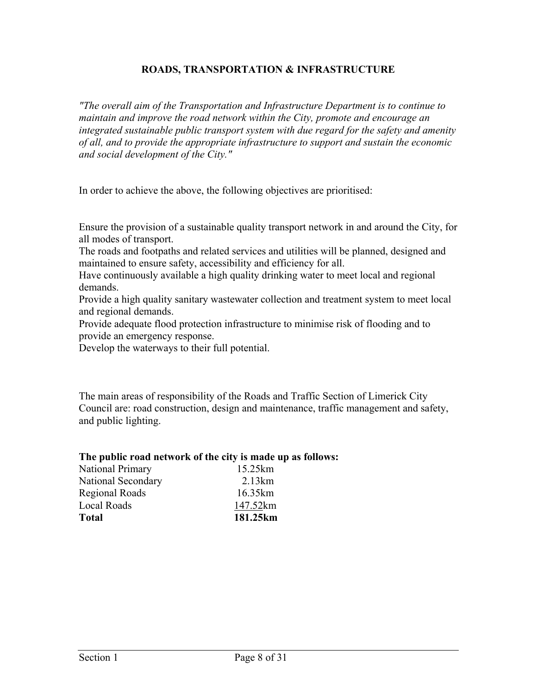## **ROADS, TRANSPORTATION & INFRASTRUCTURE**

*"The overall aim of the Transportation and Infrastructure Department is to continue to maintain and improve the road network within the City, promote and encourage an integrated sustainable public transport system with due regard for the safety and amenity of all, and to provide the appropriate infrastructure to support and sustain the economic and social development of the City."*

In order to achieve the above, the following objectives are prioritised:

Ensure the provision of a sustainable quality transport network in and around the City, for all modes of transport.

The roads and footpaths and related services and utilities will be planned, designed and maintained to ensure safety, accessibility and efficiency for all.

Have continuously available a high quality drinking water to meet local and regional demands.

Provide a high quality sanitary wastewater collection and treatment system to meet local and regional demands.

Provide adequate flood protection infrastructure to minimise risk of flooding and to provide an emergency response.

Develop the waterways to their full potential.

The main areas of responsibility of the Roads and Traffic Section of Limerick City Council are: road construction, design and maintenance, traffic management and safety, and public lighting.

#### **The public road network of the city is made up as follows:**

| <b>Total</b>            | 181.25km |
|-------------------------|----------|
| Local Roads             | 147.52km |
| Regional Roads          | 16.35km  |
| National Secondary      | 2.13km   |
| <b>National Primary</b> | 15.25km  |
|                         |          |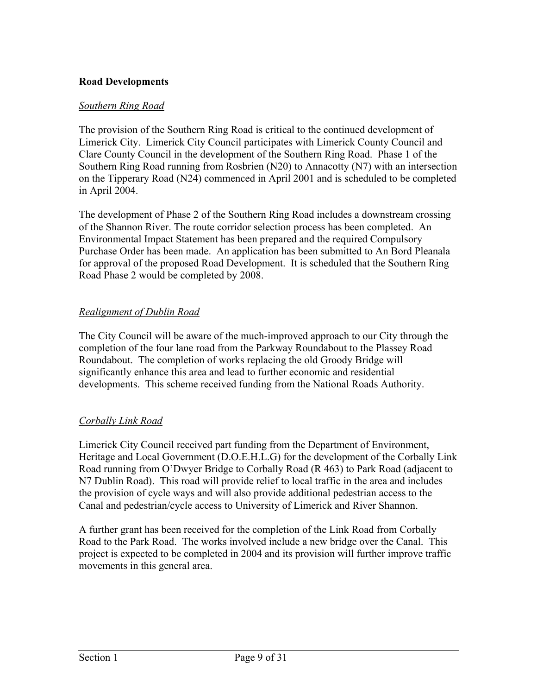## **Road Developments**

## *Southern Ring Road*

The provision of the Southern Ring Road is critical to the continued development of Limerick City. Limerick City Council participates with Limerick County Council and Clare County Council in the development of the Southern Ring Road. Phase 1 of the Southern Ring Road running from Rosbrien (N20) to Annacotty (N7) with an intersection on the Tipperary Road (N24) commenced in April 2001 and is scheduled to be completed in April 2004.

The development of Phase 2 of the Southern Ring Road includes a downstream crossing of the Shannon River. The route corridor selection process has been completed. An Environmental Impact Statement has been prepared and the required Compulsory Purchase Order has been made. An application has been submitted to An Bord Pleanala for approval of the proposed Road Development. It is scheduled that the Southern Ring Road Phase 2 would be completed by 2008.

## *Realignment of Dublin Road*

The City Council will be aware of the much-improved approach to our City through the completion of the four lane road from the Parkway Roundabout to the Plassey Road Roundabout. The completion of works replacing the old Groody Bridge will significantly enhance this area and lead to further economic and residential developments. This scheme received funding from the National Roads Authority.

## *Corbally Link Road*

Limerick City Council received part funding from the Department of Environment, Heritage and Local Government (D.O.E.H.L.G) for the development of the Corbally Link Road running from O'Dwyer Bridge to Corbally Road (R 463) to Park Road (adjacent to N7 Dublin Road). This road will provide relief to local traffic in the area and includes the provision of cycle ways and will also provide additional pedestrian access to the Canal and pedestrian/cycle access to University of Limerick and River Shannon.

A further grant has been received for the completion of the Link Road from Corbally Road to the Park Road. The works involved include a new bridge over the Canal. This project is expected to be completed in 2004 and its provision will further improve traffic movements in this general area.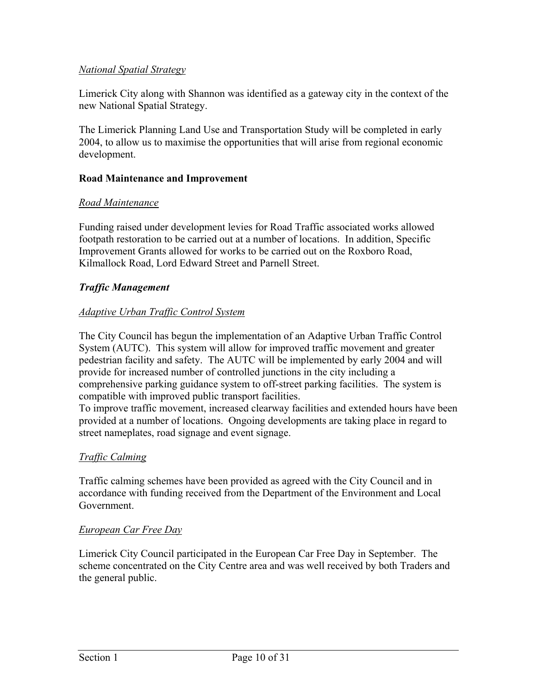## *National Spatial Strategy*

Limerick City along with Shannon was identified as a gateway city in the context of the new National Spatial Strategy.

The Limerick Planning Land Use and Transportation Study will be completed in early 2004, to allow us to maximise the opportunities that will arise from regional economic development.

## **Road Maintenance and Improvement**

## *Road Maintenance*

Funding raised under development levies for Road Traffic associated works allowed footpath restoration to be carried out at a number of locations. In addition, Specific Improvement Grants allowed for works to be carried out on the Roxboro Road, Kilmallock Road, Lord Edward Street and Parnell Street.

## *Traffic Management*

## *Adaptive Urban Traffic Control System*

The City Council has begun the implementation of an Adaptive Urban Traffic Control System (AUTC). This system will allow for improved traffic movement and greater pedestrian facility and safety. The AUTC will be implemented by early 2004 and will provide for increased number of controlled junctions in the city including a comprehensive parking guidance system to off-street parking facilities. The system is compatible with improved public transport facilities.

To improve traffic movement, increased clearway facilities and extended hours have been provided at a number of locations. Ongoing developments are taking place in regard to street nameplates, road signage and event signage.

## *Traffic Calming*

Traffic calming schemes have been provided as agreed with the City Council and in accordance with funding received from the Department of the Environment and Local Government.

## *European Car Free Day*

Limerick City Council participated in the European Car Free Day in September. The scheme concentrated on the City Centre area and was well received by both Traders and the general public.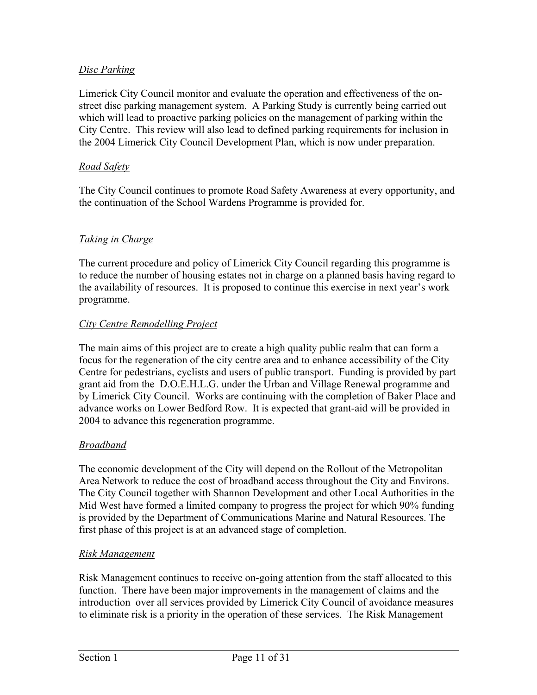# *Disc Parking*

Limerick City Council monitor and evaluate the operation and effectiveness of the onstreet disc parking management system. A Parking Study is currently being carried out which will lead to proactive parking policies on the management of parking within the City Centre. This review will also lead to defined parking requirements for inclusion in the 2004 Limerick City Council Development Plan, which is now under preparation.

## *Road Safety*

The City Council continues to promote Road Safety Awareness at every opportunity, and the continuation of the School Wardens Programme is provided for.

# *Taking in Charge*

The current procedure and policy of Limerick City Council regarding this programme is to reduce the number of housing estates not in charge on a planned basis having regard to the availability of resources. It is proposed to continue this exercise in next year's work programme.

## *City Centre Remodelling Project*

The main aims of this project are to create a high quality public realm that can form a focus for the regeneration of the city centre area and to enhance accessibility of the City Centre for pedestrians, cyclists and users of public transport. Funding is provided by part grant aid from the D.O.E.H.L.G. under the Urban and Village Renewal programme and by Limerick City Council. Works are continuing with the completion of Baker Place and advance works on Lower Bedford Row. It is expected that grant-aid will be provided in 2004 to advance this regeneration programme.

## *Broadband*

The economic development of the City will depend on the Rollout of the Metropolitan Area Network to reduce the cost of broadband access throughout the City and Environs. The City Council together with Shannon Development and other Local Authorities in the Mid West have formed a limited company to progress the project for which 90% funding is provided by the Department of Communications Marine and Natural Resources. The first phase of this project is at an advanced stage of completion.

## *Risk Management*

Risk Management continues to receive on-going attention from the staff allocated to this function. There have been major improvements in the management of claims and the introduction over all services provided by Limerick City Council of avoidance measures to eliminate risk is a priority in the operation of these services. The Risk Management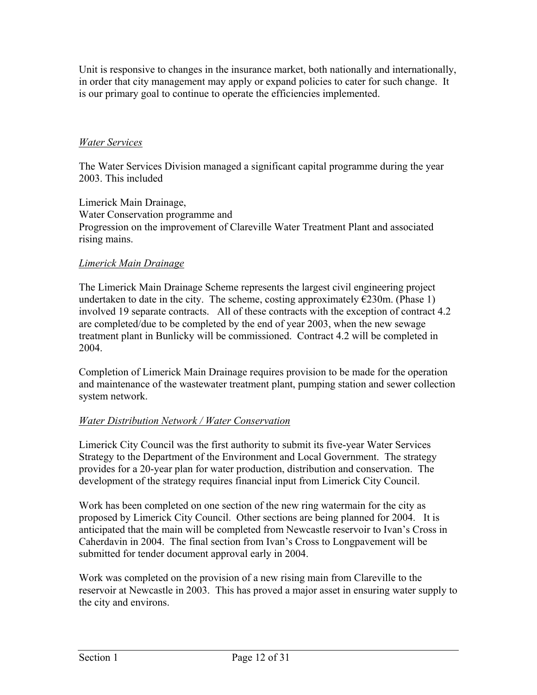Unit is responsive to changes in the insurance market, both nationally and internationally, in order that city management may apply or expand policies to cater for such change. It is our primary goal to continue to operate the efficiencies implemented.

# *Water Services*

The Water Services Division managed a significant capital programme during the year 2003. This included

Limerick Main Drainage, Water Conservation programme and Progression on the improvement of Clareville Water Treatment Plant and associated rising mains.

## *Limerick Main Drainage*

The Limerick Main Drainage Scheme represents the largest civil engineering project undertaken to date in the city. The scheme, costing approximately  $\epsilon$ 230m. (Phase 1) involved 19 separate contracts. All of these contracts with the exception of contract 4.2 are completed/due to be completed by the end of year 2003, when the new sewage treatment plant in Bunlicky will be commissioned. Contract 4.2 will be completed in 2004.

Completion of Limerick Main Drainage requires provision to be made for the operation and maintenance of the wastewater treatment plant, pumping station and sewer collection system network.

# *Water Distribution Network / Water Conservation*

Limerick City Council was the first authority to submit its five-year Water Services Strategy to the Department of the Environment and Local Government. The strategy provides for a 20-year plan for water production, distribution and conservation. The development of the strategy requires financial input from Limerick City Council.

Work has been completed on one section of the new ring watermain for the city as proposed by Limerick City Council. Other sections are being planned for 2004. It is anticipated that the main will be completed from Newcastle reservoir to Ivan's Cross in Caherdavin in 2004. The final section from Ivan's Cross to Longpavement will be submitted for tender document approval early in 2004.

Work was completed on the provision of a new rising main from Clareville to the reservoir at Newcastle in 2003. This has proved a major asset in ensuring water supply to the city and environs.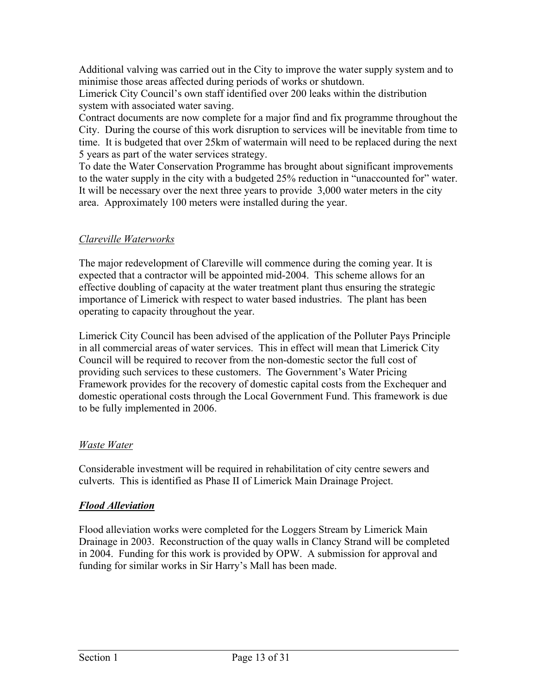Additional valving was carried out in the City to improve the water supply system and to minimise those areas affected during periods of works or shutdown.

Limerick City Council's own staff identified over 200 leaks within the distribution system with associated water saving.

Contract documents are now complete for a major find and fix programme throughout the City. During the course of this work disruption to services will be inevitable from time to time. It is budgeted that over 25km of watermain will need to be replaced during the next 5 years as part of the water services strategy.

To date the Water Conservation Programme has brought about significant improvements to the water supply in the city with a budgeted 25% reduction in "unaccounted for" water. It will be necessary over the next three years to provide 3,000 water meters in the city area. Approximately 100 meters were installed during the year.

# *Clareville Waterworks*

The major redevelopment of Clareville will commence during the coming year. It is expected that a contractor will be appointed mid-2004. This scheme allows for an effective doubling of capacity at the water treatment plant thus ensuring the strategic importance of Limerick with respect to water based industries. The plant has been operating to capacity throughout the year.

Limerick City Council has been advised of the application of the Polluter Pays Principle in all commercial areas of water services. This in effect will mean that Limerick City Council will be required to recover from the non-domestic sector the full cost of providing such services to these customers. The Government's Water Pricing Framework provides for the recovery of domestic capital costs from the Exchequer and domestic operational costs through the Local Government Fund. This framework is due to be fully implemented in 2006.

## *Waste Water*

Considerable investment will be required in rehabilitation of city centre sewers and culverts. This is identified as Phase II of Limerick Main Drainage Project.

## *Flood Alleviation*

Flood alleviation works were completed for the Loggers Stream by Limerick Main Drainage in 2003. Reconstruction of the quay walls in Clancy Strand will be completed in 2004. Funding for this work is provided by OPW. A submission for approval and funding for similar works in Sir Harry's Mall has been made.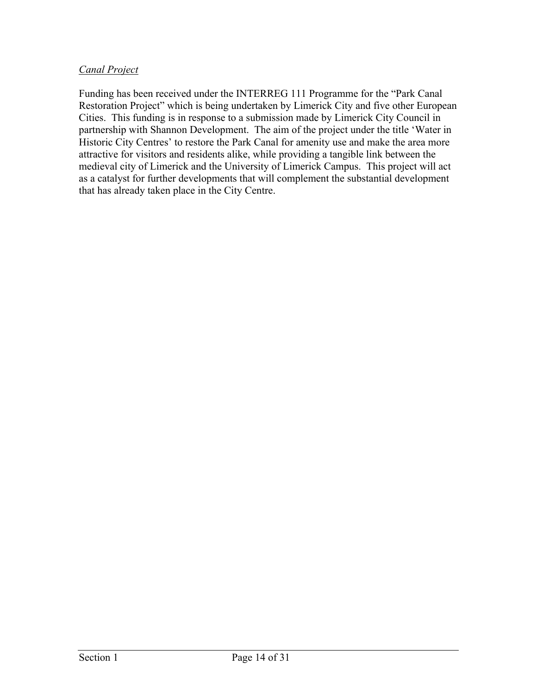## *Canal Project*

Funding has been received under the INTERREG 111 Programme for the "Park Canal Restoration Project" which is being undertaken by Limerick City and five other European Cities. This funding is in response to a submission made by Limerick City Council in partnership with Shannon Development. The aim of the project under the title 'Water in Historic City Centres' to restore the Park Canal for amenity use and make the area more attractive for visitors and residents alike, while providing a tangible link between the medieval city of Limerick and the University of Limerick Campus. This project will act as a catalyst for further developments that will complement the substantial development that has already taken place in the City Centre.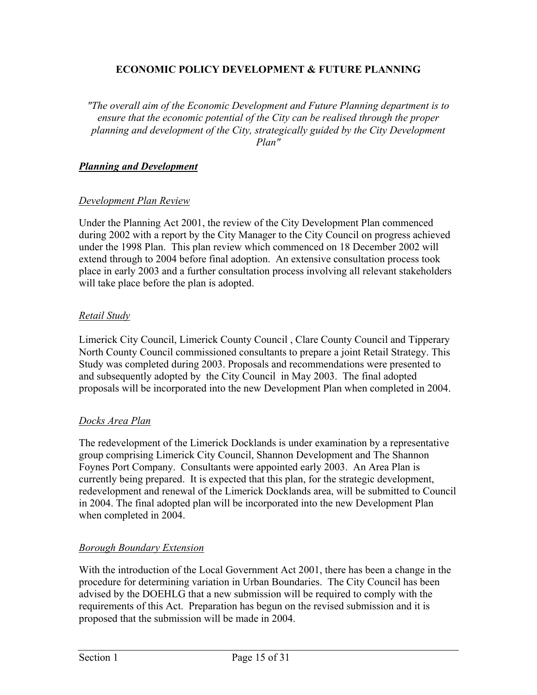## **ECONOMIC POLICY DEVELOPMENT & FUTURE PLANNING**

*"The overall aim of the Economic Development and Future Planning department is to ensure that the economic potential of the City can be realised through the proper planning and development of the City, strategically guided by the City Development Plan"* 

## *Planning and Development*

## *Development Plan Review*

Under the Planning Act 2001, the review of the City Development Plan commenced during 2002 with a report by the City Manager to the City Council on progress achieved under the 1998 Plan. This plan review which commenced on 18 December 2002 will extend through to 2004 before final adoption. An extensive consultation process took place in early 2003 and a further consultation process involving all relevant stakeholders will take place before the plan is adopted.

## *Retail Study*

Limerick City Council, Limerick County Council , Clare County Council and Tipperary North County Council commissioned consultants to prepare a joint Retail Strategy. This Study was completed during 2003. Proposals and recommendations were presented to and subsequently adopted by the City Council in May 2003. The final adopted proposals will be incorporated into the new Development Plan when completed in 2004.

## *Docks Area Plan*

The redevelopment of the Limerick Docklands is under examination by a representative group comprising Limerick City Council, Shannon Development and The Shannon Foynes Port Company. Consultants were appointed early 2003. An Area Plan is currently being prepared. It is expected that this plan, for the strategic development, redevelopment and renewal of the Limerick Docklands area, will be submitted to Council in 2004. The final adopted plan will be incorporated into the new Development Plan when completed in 2004.

## *Borough Boundary Extension*

With the introduction of the Local Government Act 2001, there has been a change in the procedure for determining variation in Urban Boundaries. The City Council has been advised by the DOEHLG that a new submission will be required to comply with the requirements of this Act. Preparation has begun on the revised submission and it is proposed that the submission will be made in 2004.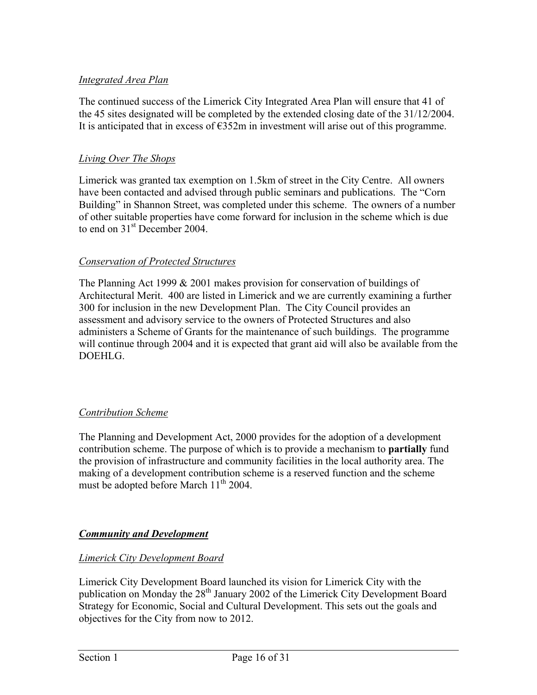## *Integrated Area Plan*

The continued success of the Limerick City Integrated Area Plan will ensure that 41 of the 45 sites designated will be completed by the extended closing date of the 31/12/2004. It is anticipated that in excess of  $\epsilon$ 352m in investment will arise out of this programme.

## *Living Over The Shops*

Limerick was granted tax exemption on 1.5km of street in the City Centre. All owners have been contacted and advised through public seminars and publications. The "Corn Building" in Shannon Street, was completed under this scheme. The owners of a number of other suitable properties have come forward for inclusion in the scheme which is due to end on  $31<sup>st</sup>$  December 2004.

## *Conservation of Protected Structures*

The Planning Act 1999 & 2001 makes provision for conservation of buildings of Architectural Merit. 400 are listed in Limerick and we are currently examining a further 300 for inclusion in the new Development Plan. The City Council provides an assessment and advisory service to the owners of Protected Structures and also administers a Scheme of Grants for the maintenance of such buildings. The programme will continue through 2004 and it is expected that grant aid will also be available from the DOEHLG.

## *Contribution Scheme*

The Planning and Development Act, 2000 provides for the adoption of a development contribution scheme. The purpose of which is to provide a mechanism to **partially** fund the provision of infrastructure and community facilities in the local authority area. The making of a development contribution scheme is a reserved function and the scheme must be adopted before March  $11<sup>th</sup> 2004$ .

# *Community and Development*

## *Limerick City Development Board*

Limerick City Development Board launched its vision for Limerick City with the publication on Monday the 28<sup>th</sup> January 2002 of the Limerick City Development Board Strategy for Economic, Social and Cultural Development. This sets out the goals and objectives for the City from now to 2012.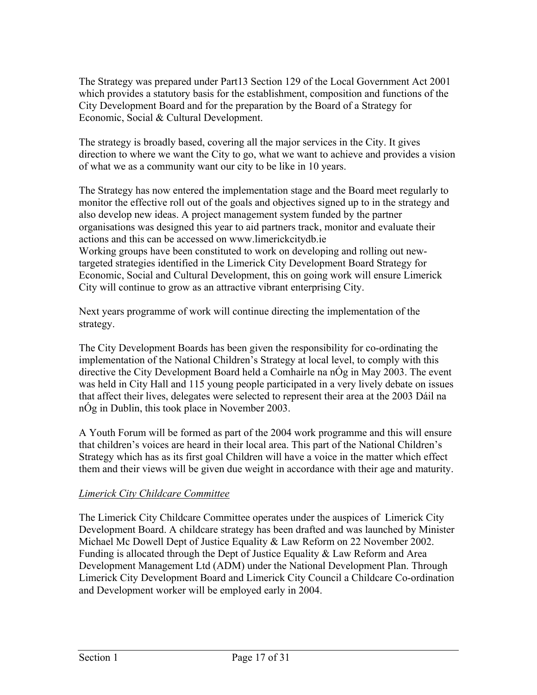The Strategy was prepared under Part13 Section 129 of the Local Government Act 2001 which provides a statutory basis for the establishment, composition and functions of the City Development Board and for the preparation by the Board of a Strategy for Economic, Social & Cultural Development.

The strategy is broadly based, covering all the major services in the City. It gives direction to where we want the City to go, what we want to achieve and provides a vision of what we as a community want our city to be like in 10 years.

The Strategy has now entered the implementation stage and the Board meet regularly to monitor the effective roll out of the goals and objectives signed up to in the strategy and also develop new ideas. A project management system funded by the partner organisations was designed this year to aid partners track, monitor and evaluate their actions and this can be accessed on [www.limerickcitydb.ie](http://www.limerickcitydb.ie/) Working groups have been constituted to work on developing and rolling out newtargeted strategies identified in the Limerick City Development Board Strategy for Economic, Social and Cultural Development, this on going work will ensure Limerick City will continue to grow as an attractive vibrant enterprising City.

Next years programme of work will continue directing the implementation of the strategy.

The City Development Boards has been given the responsibility for co-ordinating the implementation of the National Children's Strategy at local level, to comply with this directive the City Development Board held a Comhairle na nÓg in May 2003. The event was held in City Hall and 115 young people participated in a very lively debate on issues that affect their lives, delegates were selected to represent their area at the 2003 Dáil na nÓg in Dublin, this took place in November 2003.

A Youth Forum will be formed as part of the 2004 work programme and this will ensure that children's voices are heard in their local area. This part of the National Children's Strategy which has as its first goal Children will have a voice in the matter which effect them and their views will be given due weight in accordance with their age and maturity.

# *Limerick City Childcare Committee*

The Limerick City Childcare Committee operates under the auspices of Limerick City Development Board. A childcare strategy has been drafted and was launched by Minister Michael Mc Dowell Dept of Justice Equality & Law Reform on 22 November 2002. Funding is allocated through the Dept of Justice Equality & Law Reform and Area Development Management Ltd (ADM) under the National Development Plan. Through Limerick City Development Board and Limerick City Council a Childcare Co-ordination and Development worker will be employed early in 2004.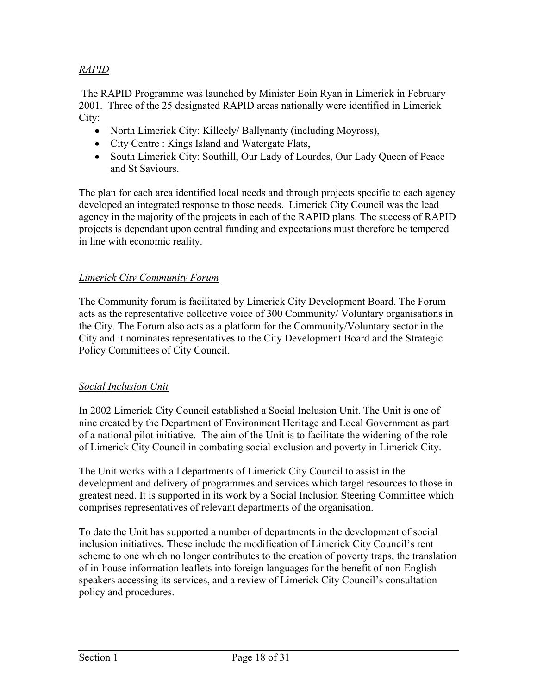# *RAPID*

 The RAPID Programme was launched by Minister Eoin Ryan in Limerick in February 2001. Three of the 25 designated RAPID areas nationally were identified in Limerick City:

- North Limerick City: Killeely/ Ballynanty (including Moyross),
- City Centre : Kings Island and Watergate Flats,
- South Limerick City: Southill, Our Lady of Lourdes, Our Lady Queen of Peace and St Saviours.

The plan for each area identified local needs and through projects specific to each agency developed an integrated response to those needs. Limerick City Council was the lead agency in the majority of the projects in each of the RAPID plans. The success of RAPID projects is dependant upon central funding and expectations must therefore be tempered in line with economic reality.

## *Limerick City Community Forum*

The Community forum is facilitated by Limerick City Development Board. The Forum acts as the representative collective voice of 300 Community/ Voluntary organisations in the City. The Forum also acts as a platform for the Community/Voluntary sector in the City and it nominates representatives to the City Development Board and the Strategic Policy Committees of City Council.

## *Social Inclusion Unit*

In 2002 Limerick City Council established a Social Inclusion Unit. The Unit is one of nine created by the Department of Environment Heritage and Local Government as part of a national pilot initiative. The aim of the Unit is to facilitate the widening of the role of Limerick City Council in combating social exclusion and poverty in Limerick City.

The Unit works with all departments of Limerick City Council to assist in the development and delivery of programmes and services which target resources to those in greatest need. It is supported in its work by a Social Inclusion Steering Committee which comprises representatives of relevant departments of the organisation.

To date the Unit has supported a number of departments in the development of social inclusion initiatives. These include the modification of Limerick City Council's rent scheme to one which no longer contributes to the creation of poverty traps, the translation of in-house information leaflets into foreign languages for the benefit of non-English speakers accessing its services, and a review of Limerick City Council's consultation policy and procedures.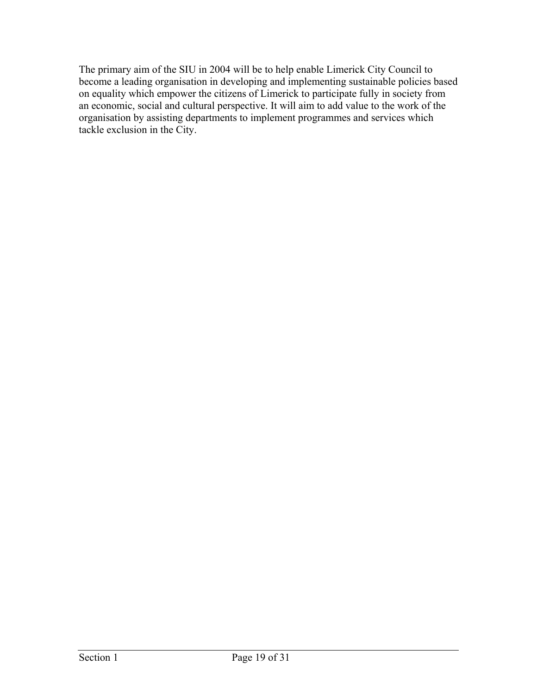The primary aim of the SIU in 2004 will be to help enable Limerick City Council to become a leading organisation in developing and implementing sustainable policies based on equality which empower the citizens of Limerick to participate fully in society from an economic, social and cultural perspective. It will aim to add value to the work of the organisation by assisting departments to implement programmes and services which tackle exclusion in the City.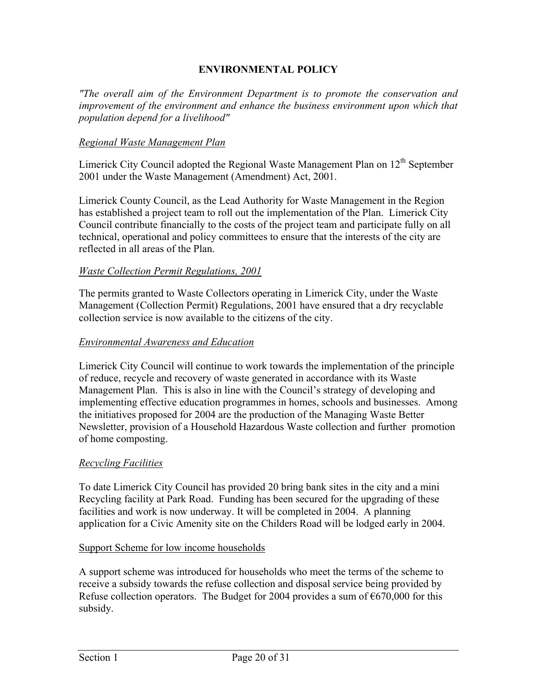## **ENVIRONMENTAL POLICY**

*"The overall aim of the Environment Department is to promote the conservation and improvement of the environment and enhance the business environment upon which that population depend for a livelihood"* 

#### *Regional Waste Management Plan*

Limerick City Council adopted the Regional Waste Management Plan on  $12<sup>th</sup>$  September 2001 under the Waste Management (Amendment) Act, 2001.

Limerick County Council, as the Lead Authority for Waste Management in the Region has established a project team to roll out the implementation of the Plan. Limerick City Council contribute financially to the costs of the project team and participate fully on all technical, operational and policy committees to ensure that the interests of the city are reflected in all areas of the Plan.

#### *Waste Collection Permit Regulations, 2001*

The permits granted to Waste Collectors operating in Limerick City, under the Waste Management (Collection Permit) Regulations, 2001 have ensured that a dry recyclable collection service is now available to the citizens of the city.

#### *Environmental Awareness and Education*

Limerick City Council will continue to work towards the implementation of the principle of reduce, recycle and recovery of waste generated in accordance with its Waste Management Plan. This is also in line with the Council's strategy of developing and implementing effective education programmes in homes, schools and businesses. Among the initiatives proposed for 2004 are the production of the Managing Waste Better Newsletter, provision of a Household Hazardous Waste collection and further promotion of home composting.

#### *Recycling Facilities*

To date Limerick City Council has provided 20 bring bank sites in the city and a mini Recycling facility at Park Road. Funding has been secured for the upgrading of these facilities and work is now underway. It will be completed in 2004. A planning application for a Civic Amenity site on the Childers Road will be lodged early in 2004.

#### Support Scheme for low income households

A support scheme was introduced for households who meet the terms of the scheme to receive a subsidy towards the refuse collection and disposal service being provided by Refuse collection operators. The Budget for 2004 provides a sum of  $\epsilon$ 670,000 for this subsidy.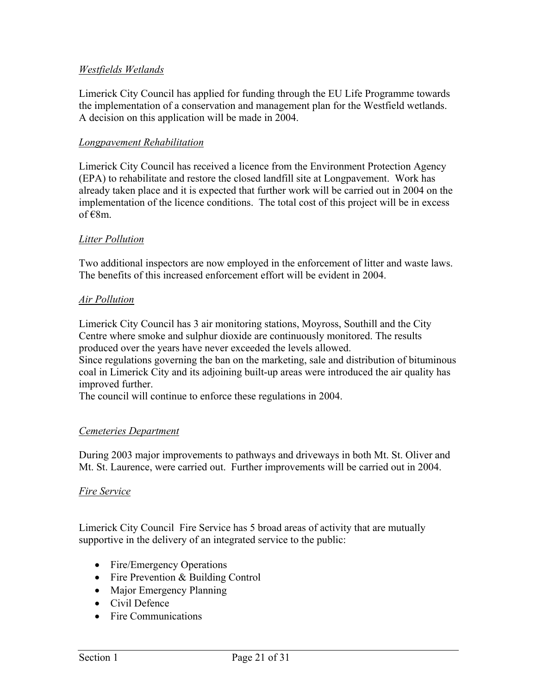## *Westfields Wetlands*

Limerick City Council has applied for funding through the EU Life Programme towards the implementation of a conservation and management plan for the Westfield wetlands. A decision on this application will be made in 2004.

## *Longpavement Rehabilitation*

Limerick City Council has received a licence from the Environment Protection Agency (EPA) to rehabilitate and restore the closed landfill site at Longpavement. Work has already taken place and it is expected that further work will be carried out in 2004 on the implementation of the licence conditions. The total cost of this project will be in excess of  $\varepsilon$ 8m.

## *Litter Pollution*

Two additional inspectors are now employed in the enforcement of litter and waste laws. The benefits of this increased enforcement effort will be evident in 2004.

#### *Air Pollution*

Limerick City Council has 3 air monitoring stations, Moyross, Southill and the City Centre where smoke and sulphur dioxide are continuously monitored. The results produced over the years have never exceeded the levels allowed.

Since regulations governing the ban on the marketing, sale and distribution of bituminous coal in Limerick City and its adjoining built-up areas were introduced the air quality has improved further.

The council will continue to enforce these regulations in 2004.

#### *Cemeteries Department*

During 2003 major improvements to pathways and driveways in both Mt. St. Oliver and Mt. St. Laurence, were carried out. Further improvements will be carried out in 2004.

#### *Fire Service*

Limerick City Council Fire Service has 5 broad areas of activity that are mutually supportive in the delivery of an integrated service to the public:

- Fire/Emergency Operations
- Fire Prevention & Building Control
- Major Emergency Planning
- Civil Defence
- Fire Communications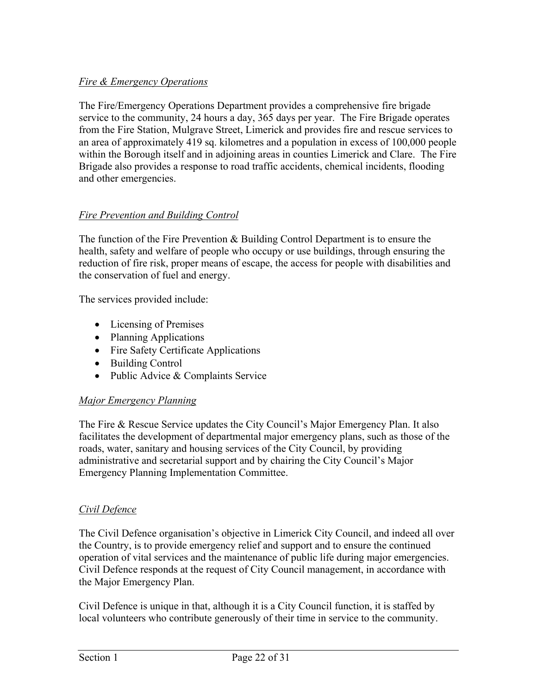# *Fire & Emergency Operations*

The Fire/Emergency Operations Department provides a comprehensive fire brigade service to the community, 24 hours a day, 365 days per year. The Fire Brigade operates from the Fire Station, Mulgrave Street, Limerick and provides fire and rescue services to an area of approximately 419 sq. kilometres and a population in excess of 100,000 people within the Borough itself and in adjoining areas in counties Limerick and Clare. The Fire Brigade also provides a response to road traffic accidents, chemical incidents, flooding and other emergencies.

## *Fire Prevention and Building Control*

The function of the Fire Prevention & Building Control Department is to ensure the health, safety and welfare of people who occupy or use buildings, through ensuring the reduction of fire risk, proper means of escape, the access for people with disabilities and the conservation of fuel and energy.

The services provided include:

- Licensing of Premises
- Planning Applications
- Fire Safety Certificate Applications
- Building Control
- Public Advice & Complaints Service

# *Major Emergency Planning*

The Fire & Rescue Service updates the City Council's Major Emergency Plan. It also facilitates the development of departmental major emergency plans, such as those of the roads, water, sanitary and housing services of the City Council, by providing administrative and secretarial support and by chairing the City Council's Major Emergency Planning Implementation Committee.

## *Civil Defence*

The Civil Defence organisation's objective in Limerick City Council, and indeed all over the Country, is to provide emergency relief and support and to ensure the continued operation of vital services and the maintenance of public life during major emergencies. Civil Defence responds at the request of City Council management, in accordance with the Major Emergency Plan.

Civil Defence is unique in that, although it is a City Council function, it is staffed by local volunteers who contribute generously of their time in service to the community.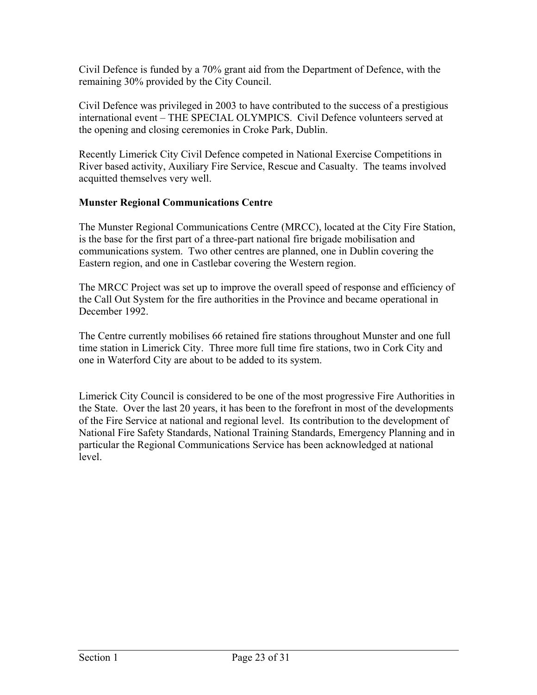Civil Defence is funded by a 70% grant aid from the Department of Defence, with the remaining 30% provided by the City Council.

Civil Defence was privileged in 2003 to have contributed to the success of a prestigious international event – THE SPECIAL OLYMPICS. Civil Defence volunteers served at the opening and closing ceremonies in Croke Park, Dublin.

Recently Limerick City Civil Defence competed in National Exercise Competitions in River based activity, Auxiliary Fire Service, Rescue and Casualty. The teams involved acquitted themselves very well.

## **Munster Regional Communications Centre**

The Munster Regional Communications Centre (MRCC), located at the City Fire Station, is the base for the first part of a three-part national fire brigade mobilisation and communications system. Two other centres are planned, one in Dublin covering the Eastern region, and one in Castlebar covering the Western region.

The MRCC Project was set up to improve the overall speed of response and efficiency of the Call Out System for the fire authorities in the Province and became operational in December 1992.

The Centre currently mobilises 66 retained fire stations throughout Munster and one full time station in Limerick City. Three more full time fire stations, two in Cork City and one in Waterford City are about to be added to its system.

Limerick City Council is considered to be one of the most progressive Fire Authorities in the State. Over the last 20 years, it has been to the forefront in most of the developments of the Fire Service at national and regional level. Its contribution to the development of National Fire Safety Standards, National Training Standards, Emergency Planning and in particular the Regional Communications Service has been acknowledged at national level.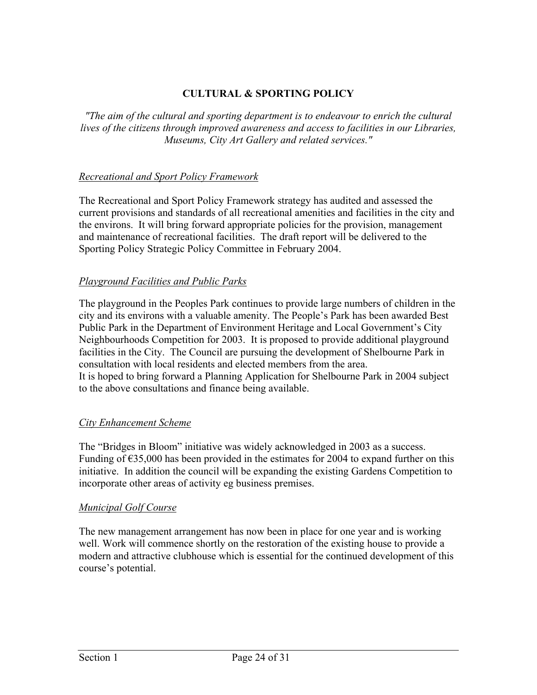# **CULTURAL & SPORTING POLICY**

*"The aim of the cultural and sporting department is to endeavour to enrich the cultural lives of the citizens through improved awareness and access to facilities in our Libraries, Museums, City Art Gallery and related services."* 

## *Recreational and Sport Policy Framework*

The Recreational and Sport Policy Framework strategy has audited and assessed the current provisions and standards of all recreational amenities and facilities in the city and the environs. It will bring forward appropriate policies for the provision, management and maintenance of recreational facilities. The draft report will be delivered to the Sporting Policy Strategic Policy Committee in February 2004.

## *Playground Facilities and Public Parks*

The playground in the Peoples Park continues to provide large numbers of children in the city and its environs with a valuable amenity. The People's Park has been awarded Best Public Park in the Department of Environment Heritage and Local Government's City Neighbourhoods Competition for 2003. It is proposed to provide additional playground facilities in the City. The Council are pursuing the development of Shelbourne Park in consultation with local residents and elected members from the area. It is hoped to bring forward a Planning Application for Shelbourne Park in 2004 subject to the above consultations and finance being available.

## *City Enhancement Scheme*

The "Bridges in Bloom" initiative was widely acknowledged in 2003 as a success. Funding of  $\epsilon$ 35,000 has been provided in the estimates for 2004 to expand further on this initiative. In addition the council will be expanding the existing Gardens Competition to incorporate other areas of activity eg business premises.

## *Municipal Golf Course*

The new management arrangement has now been in place for one year and is working well. Work will commence shortly on the restoration of the existing house to provide a modern and attractive clubhouse which is essential for the continued development of this course's potential.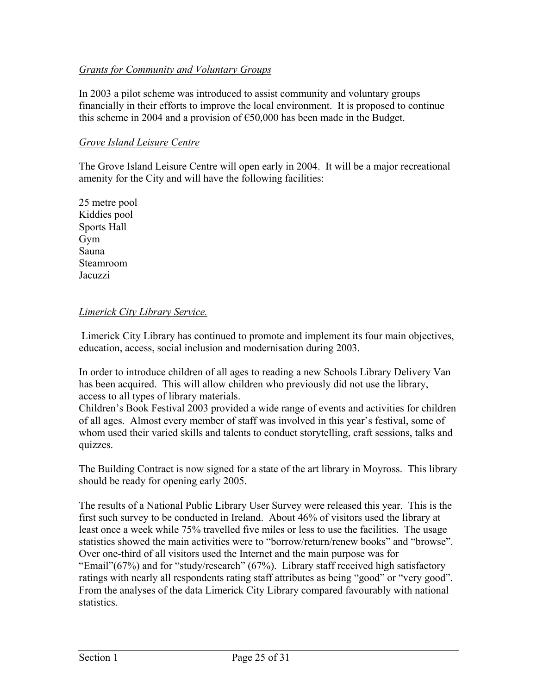## *Grants for Community and Voluntary Groups*

In 2003 a pilot scheme was introduced to assist community and voluntary groups financially in their efforts to improve the local environment. It is proposed to continue this scheme in 2004 and a provision of  $\epsilon$ 50,000 has been made in the Budget.

#### *Grove Island Leisure Centre*

The Grove Island Leisure Centre will open early in 2004. It will be a major recreational amenity for the City and will have the following facilities:

25 metre pool Kiddies pool Sports Hall Gym Sauna Steamroom **Jacuzzi** 

#### *Limerick City Library Service.*

 Limerick City Library has continued to promote and implement its four main objectives, education, access, social inclusion and modernisation during 2003.

In order to introduce children of all ages to reading a new Schools Library Delivery Van has been acquired. This will allow children who previously did not use the library, access to all types of library materials.

Children's Book Festival 2003 provided a wide range of events and activities for children of all ages. Almost every member of staff was involved in this year's festival, some of whom used their varied skills and talents to conduct storytelling, craft sessions, talks and quizzes.

The Building Contract is now signed for a state of the art library in Moyross. This library should be ready for opening early 2005.

The results of a National Public Library User Survey were released this year. This is the first such survey to be conducted in Ireland. About 46% of visitors used the library at least once a week while 75% travelled five miles or less to use the facilities. The usage statistics showed the main activities were to "borrow/return/renew books" and "browse". Over one-third of all visitors used the Internet and the main purpose was for "Email"(67%) and for "study/research" (67%). Library staff received high satisfactory ratings with nearly all respondents rating staff attributes as being "good" or "very good". From the analyses of the data Limerick City Library compared favourably with national statistics.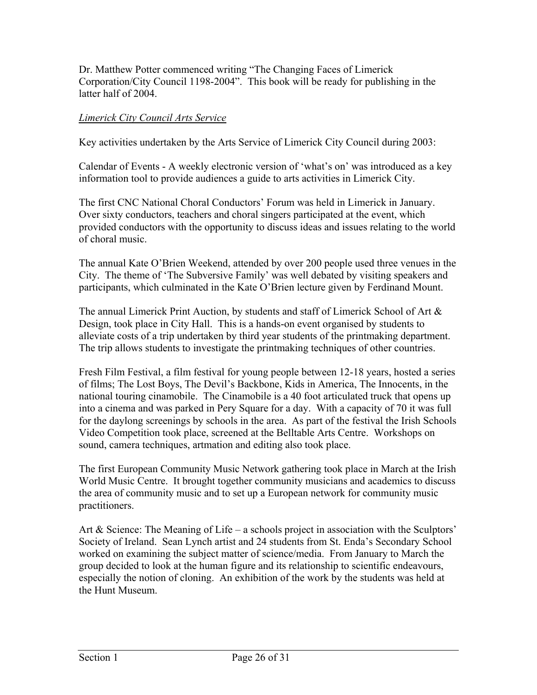Dr. Matthew Potter commenced writing "The Changing Faces of Limerick Corporation/City Council 1198-2004". This book will be ready for publishing in the latter half of 2004.

## *Limerick City Council Arts Service*

Key activities undertaken by the Arts Service of Limerick City Council during 2003:

Calendar of Events - A weekly electronic version of 'what's on' was introduced as a key information tool to provide audiences a guide to arts activities in Limerick City.

The first CNC National Choral Conductors' Forum was held in Limerick in January. Over sixty conductors, teachers and choral singers participated at the event, which provided conductors with the opportunity to discuss ideas and issues relating to the world of choral music.

The annual Kate O'Brien Weekend, attended by over 200 people used three venues in the City. The theme of 'The Subversive Family' was well debated by visiting speakers and participants, which culminated in the Kate O'Brien lecture given by Ferdinand Mount.

The annual Limerick Print Auction, by students and staff of Limerick School of Art & Design, took place in City Hall. This is a hands-on event organised by students to alleviate costs of a trip undertaken by third year students of the printmaking department. The trip allows students to investigate the printmaking techniques of other countries.

Fresh Film Festival, a film festival for young people between 12-18 years, hosted a series of films; The Lost Boys, The Devil's Backbone, Kids in America, The Innocents, in the national touring cinamobile. The Cinamobile is a 40 foot articulated truck that opens up into a cinema and was parked in Pery Square for a day. With a capacity of 70 it was full for the daylong screenings by schools in the area. As part of the festival the Irish Schools Video Competition took place, screened at the Belltable Arts Centre. Workshops on sound, camera techniques, artmation and editing also took place.

The first European Community Music Network gathering took place in March at the Irish World Music Centre. It brought together community musicians and academics to discuss the area of community music and to set up a European network for community music practitioners.

Art & Science: The Meaning of Life – a schools project in association with the Sculptors' Society of Ireland. Sean Lynch artist and 24 students from St. Enda's Secondary School worked on examining the subject matter of science/media. From January to March the group decided to look at the human figure and its relationship to scientific endeavours, especially the notion of cloning. An exhibition of the work by the students was held at the Hunt Museum.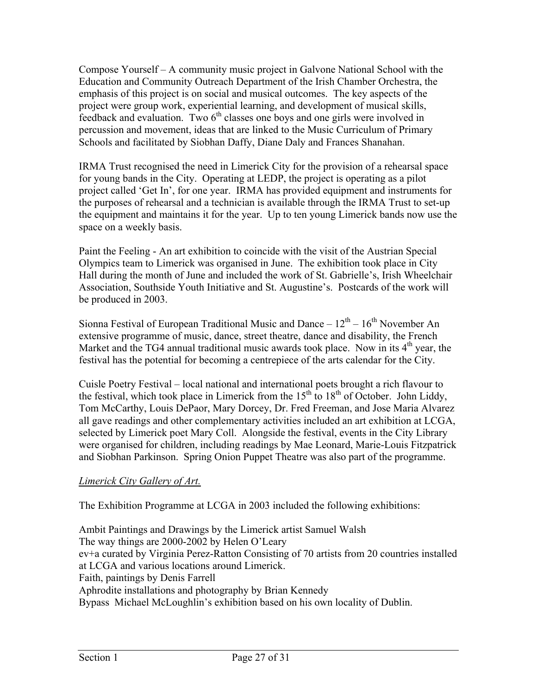Compose Yourself – A community music project in Galvone National School with the Education and Community Outreach Department of the Irish Chamber Orchestra, the emphasis of this project is on social and musical outcomes. The key aspects of the project were group work, experiential learning, and development of musical skills,  $f$ eedback and evaluation. Two  $6<sup>th</sup>$  classes one boys and one girls were involved in percussion and movement, ideas that are linked to the Music Curriculum of Primary Schools and facilitated by Siobhan Daffy, Diane Daly and Frances Shanahan.

IRMA Trust recognised the need in Limerick City for the provision of a rehearsal space for young bands in the City. Operating at LEDP, the project is operating as a pilot project called 'Get In', for one year. IRMA has provided equipment and instruments for the purposes of rehearsal and a technician is available through the IRMA Trust to set-up the equipment and maintains it for the year. Up to ten young Limerick bands now use the space on a weekly basis.

Paint the Feeling - An art exhibition to coincide with the visit of the Austrian Special Olympics team to Limerick was organised in June. The exhibition took place in City Hall during the month of June and included the work of St. Gabrielle's, Irish Wheelchair Association, Southside Youth Initiative and St. Augustine's. Postcards of the work will be produced in 2003.

Sionna Festival of European Traditional Music and Dance –  $12<sup>th</sup>$  –  $16<sup>th</sup>$  November An extensive programme of music, dance, street theatre, dance and disability, the French Market and the TG4 annual traditional music awards took place. Now in its  $4<sup>th</sup>$  year, the festival has the potential for becoming a centrepiece of the arts calendar for the City.

Cuisle Poetry Festival – local national and international poets brought a rich flavour to the festival, which took place in Limerick from the  $15<sup>th</sup>$  to  $18<sup>th</sup>$  of October. John Liddy, Tom McCarthy, Louis DePaor, Mary Dorcey, Dr. Fred Freeman, and Jose Maria Alvarez all gave readings and other complementary activities included an art exhibition at LCGA, selected by Limerick poet Mary Coll. Alongside the festival, events in the City Library were organised for children, including readings by Mae Leonard, Marie-Louis Fitzpatrick and Siobhan Parkinson. Spring Onion Puppet Theatre was also part of the programme.

# *Limerick City Gallery of Art.*

The Exhibition Programme at LCGA in 2003 included the following exhibitions:

Ambit Paintings and Drawings by the Limerick artist Samuel Walsh The way things are 2000-2002 by Helen O'Leary ev+a curated by Virginia Perez-Ratton Consisting of 70 artists from 20 countries installed at LCGA and various locations around Limerick. Faith, paintings by Denis Farrell Aphrodite installations and photography by Brian Kennedy Bypass Michael McLoughlin's exhibition based on his own locality of Dublin.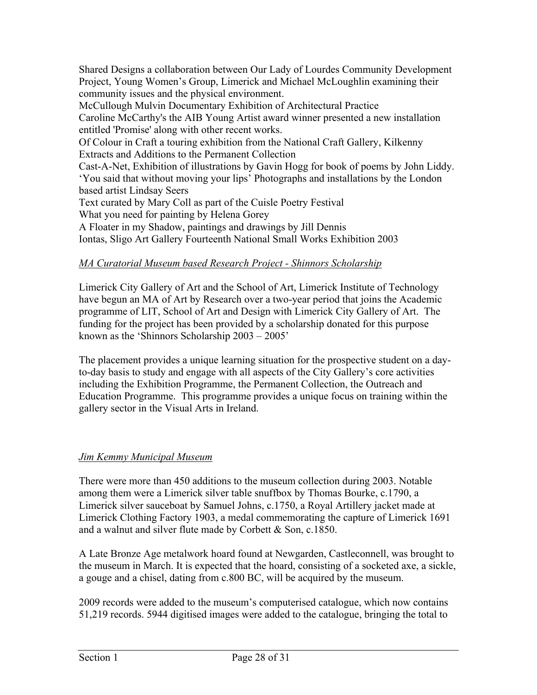Shared Designs a collaboration between Our Lady of Lourdes Community Development Project, Young Women's Group, Limerick and Michael McLoughlin examining their community issues and the physical environment.

McCullough Mulvin Documentary Exhibition of Architectural Practice Caroline McCarthy's the AIB Young Artist award winner presented a new installation

entitled 'Promise' along with other recent works. Of Colour in Craft a touring exhibition from the National Craft Gallery, Kilkenny Extracts and Additions to the Permanent Collection

Cast-A-Net, Exhibition of illustrations by Gavin Hogg for book of poems by John Liddy. 'You said that without moving your lips' Photographs and installations by the London based artist Lindsay Seers

Text curated by Mary Coll as part of the Cuisle Poetry Festival

What you need for painting by Helena Gorey

A Floater in my Shadow, paintings and drawings by Jill Dennis Iontas, Sligo Art Gallery Fourteenth National Small Works Exhibition 2003

# *MA Curatorial Museum based Research Project - Shinnors Scholarship*

Limerick City Gallery of Art and the School of Art, Limerick Institute of Technology have begun an MA of Art by Research over a two-year period that joins the Academic programme of LIT, School of Art and Design with Limerick City Gallery of Art. The funding for the project has been provided by a scholarship donated for this purpose known as the 'Shinnors Scholarship 2003 – 2005'

The placement provides a unique learning situation for the prospective student on a dayto-day basis to study and engage with all aspects of the City Gallery's core activities including the Exhibition Programme, the Permanent Collection, the Outreach and Education Programme. This programme provides a unique focus on training within the gallery sector in the Visual Arts in Ireland.

# *Jim Kemmy Municipal Museum*

There were more than 450 additions to the museum collection during 2003. Notable among them were a Limerick silver table snuffbox by Thomas Bourke, c.1790, a Limerick silver sauceboat by Samuel Johns, c.1750, a Royal Artillery jacket made at Limerick Clothing Factory 1903, a medal commemorating the capture of Limerick 1691 and a walnut and silver flute made by Corbett & Son, c.1850.

A Late Bronze Age metalwork hoard found at Newgarden, Castleconnell, was brought to the museum in March. It is expected that the hoard, consisting of a socketed axe, a sickle, a gouge and a chisel, dating from c.800 BC, will be acquired by the museum.

2009 records were added to the museum's computerised catalogue, which now contains 51,219 records. 5944 digitised images were added to the catalogue, bringing the total to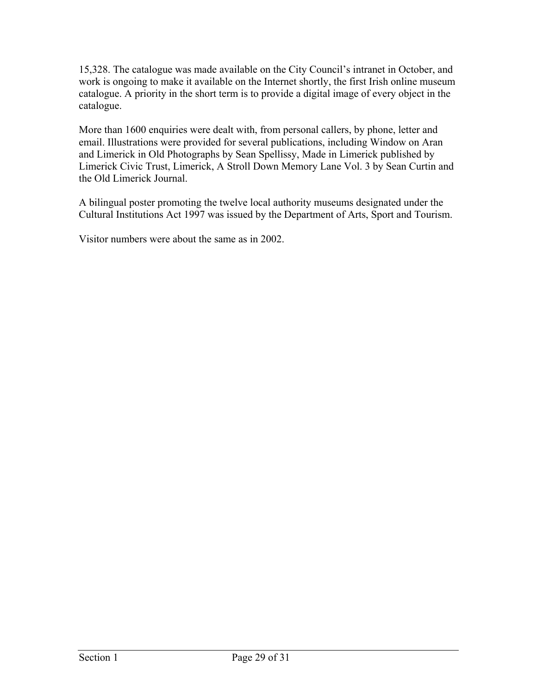15,328. The catalogue was made available on the City Council's intranet in October, and work is ongoing to make it available on the Internet shortly, the first Irish online museum catalogue. A priority in the short term is to provide a digital image of every object in the catalogue.

More than 1600 enquiries were dealt with, from personal callers, by phone, letter and email. Illustrations were provided for several publications, including Window on Aran and Limerick in Old Photographs by Sean Spellissy, Made in Limerick published by Limerick Civic Trust, Limerick, A Stroll Down Memory Lane Vol. 3 by Sean Curtin and the Old Limerick Journal.

A bilingual poster promoting the twelve local authority museums designated under the Cultural Institutions Act 1997 was issued by the Department of Arts, Sport and Tourism.

Visitor numbers were about the same as in 2002.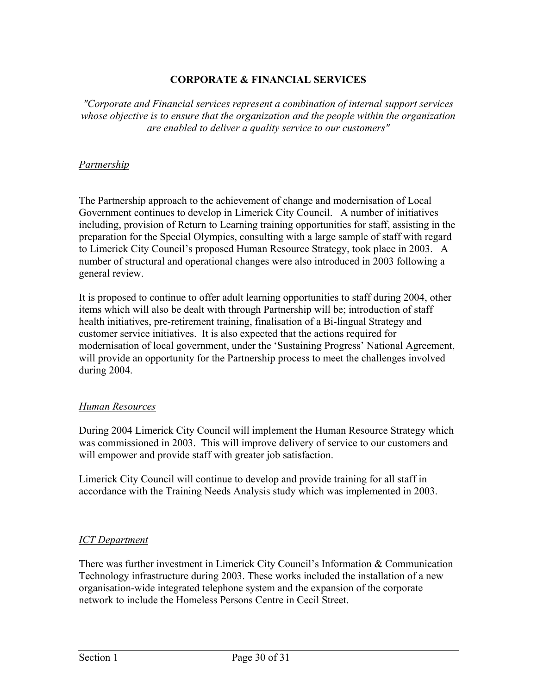## **CORPORATE & FINANCIAL SERVICES**

*"Corporate and Financial services represent a combination of internal support services whose objective is to ensure that the organization and the people within the organization are enabled to deliver a quality service to our customers"* 

#### *Partnership*

The Partnership approach to the achievement of change and modernisation of Local Government continues to develop in Limerick City Council. A number of initiatives including, provision of Return to Learning training opportunities for staff, assisting in the preparation for the Special Olympics, consulting with a large sample of staff with regard to Limerick City Council's proposed Human Resource Strategy, took place in 2003. A number of structural and operational changes were also introduced in 2003 following a general review.

It is proposed to continue to offer adult learning opportunities to staff during 2004, other items which will also be dealt with through Partnership will be; introduction of staff health initiatives, pre-retirement training, finalisation of a Bi-lingual Strategy and customer service initiatives. It is also expected that the actions required for modernisation of local government, under the 'Sustaining Progress' National Agreement, will provide an opportunity for the Partnership process to meet the challenges involved during 2004.

#### *Human Resources*

During 2004 Limerick City Council will implement the Human Resource Strategy which was commissioned in 2003. This will improve delivery of service to our customers and will empower and provide staff with greater job satisfaction.

Limerick City Council will continue to develop and provide training for all staff in accordance with the Training Needs Analysis study which was implemented in 2003.

## *ICT Department*

There was further investment in Limerick City Council's Information & Communication Technology infrastructure during 2003. These works included the installation of a new organisation-wide integrated telephone system and the expansion of the corporate network to include the Homeless Persons Centre in Cecil Street.